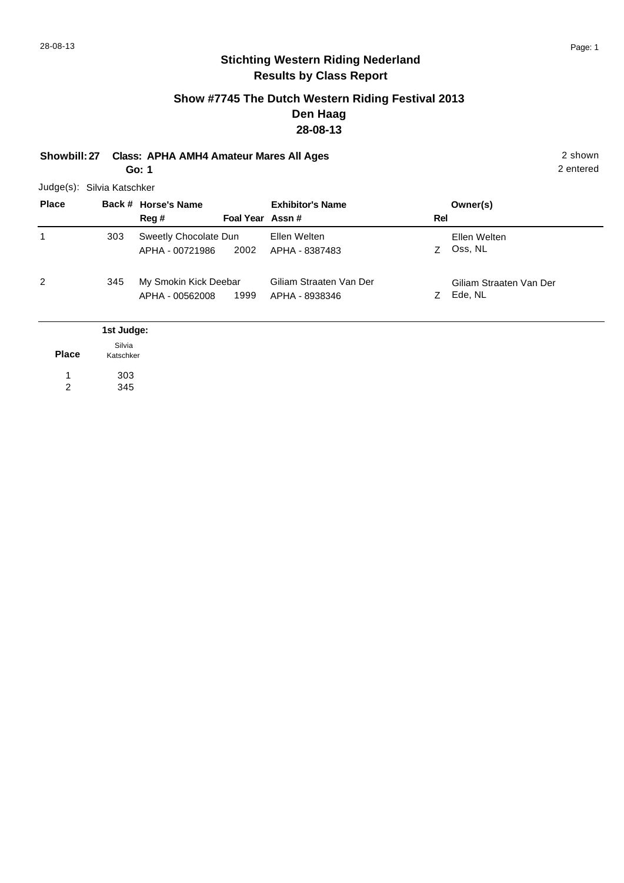## **Show #7745 The Dutch Western Riding Festival 2013 Den Haag 28-08-13**

**Showbill: 27 Class: APHA AMH4 Amateur Mares All Ages** 2 shown **Go: 1**

2 entered

Judge(s): Silvia Katschker

303 345

| <b>Place</b> |                     | Back # Horse's Name<br>Reg #             | Foal Year Assn# | <b>Exhibitor's Name</b>                   | Rel | Owner(s)                           |
|--------------|---------------------|------------------------------------------|-----------------|-------------------------------------------|-----|------------------------------------|
| 1            | 303                 | Sweetly Chocolate Dun<br>APHA - 00721986 | 2002            | Ellen Welten<br>APHA - 8387483            | Z.  | Ellen Welten<br>Oss, NL            |
| 2            | 345                 | My Smokin Kick Deebar<br>APHA - 00562008 | 1999            | Giliam Straaten Van Der<br>APHA - 8938346 | Z.  | Giliam Straaten Van Der<br>Ede, NL |
|              | 1st Judge:          |                                          |                 |                                           |     |                                    |
| <b>Place</b> | Silvia<br>Katschker |                                          |                 |                                           |     |                                    |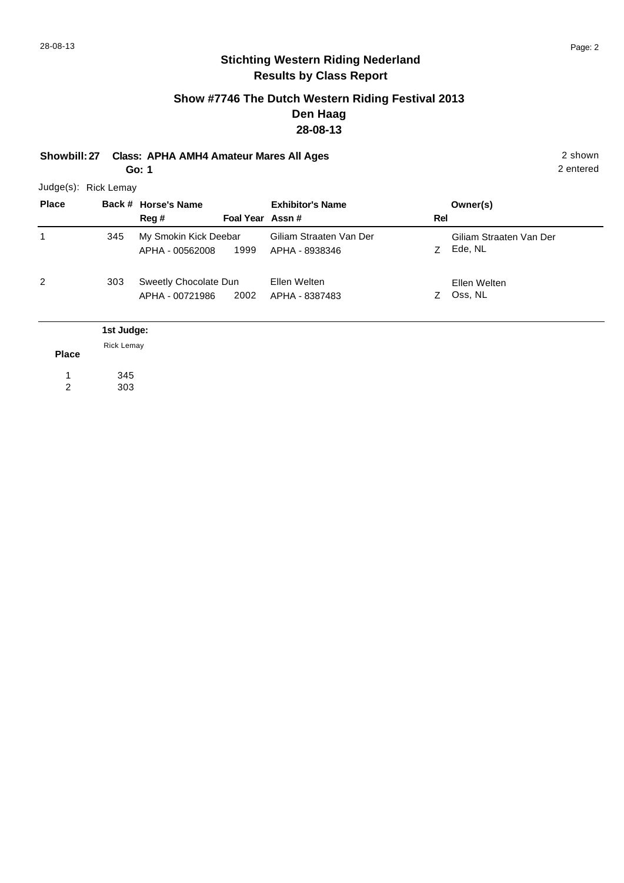## **Show #7746 The Dutch Western Riding Festival 2013 Den Haag 28-08-13**

**Showbill: 27 Class: APHA AMH4 Amateur Mares All Ages** 2 shown **Go: 1**

2 entered

Judge(s): Rick Lemay

| <b>Place</b> |                                 | Back # Horse's Name<br>Reg #             | Foal Year Assn# | <b>Exhibitor's Name</b>                   | Rel | Owner(s)                           |
|--------------|---------------------------------|------------------------------------------|-----------------|-------------------------------------------|-----|------------------------------------|
| 1            | 345                             | My Smokin Kick Deebar<br>APHA - 00562008 | 1999            | Giliam Straaten Van Der<br>APHA - 8938346 | Z.  | Giliam Straaten Van Der<br>Ede, NL |
| 2            | 303                             | Sweetly Chocolate Dun<br>APHA - 00721986 | 2002            | Ellen Welten<br>APHA - 8387483            | Z   | Ellen Welten<br>Oss, NL            |
| <b>Place</b> | 1st Judge:<br><b>Rick Lemay</b> |                                          |                 |                                           |     |                                    |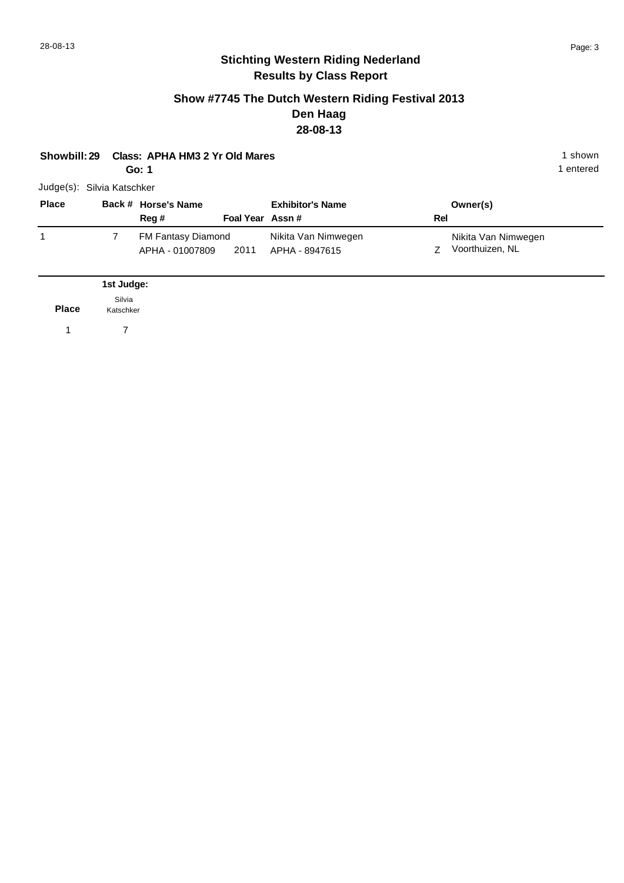#### **Show #7745 The Dutch Western Riding Festival 2013 Den Haag 28-08-13**

| Class: APHA HM3 2 Yr Old Mares<br>Showbill: 29<br>Go: 1 |                     |                                       |                 |                                       |     |                                        |  |
|---------------------------------------------------------|---------------------|---------------------------------------|-----------------|---------------------------------------|-----|----------------------------------------|--|
| Judge(s): Silvia Katschker                              |                     |                                       |                 |                                       |     |                                        |  |
| <b>Place</b>                                            |                     | Back # Horse's Name<br>Reg#           | Foal Year Assn# | <b>Exhibitor's Name</b>               | Rel | Owner(s)                               |  |
| 1                                                       | $\overline{7}$      | FM Fantasy Diamond<br>APHA - 01007809 | 2011            | Nikita Van Nimwegen<br>APHA - 8947615 | Z   | Nikita Van Nimwegen<br>Voorthuizen, NL |  |
|                                                         | 1st Judge:          |                                       |                 |                                       |     |                                        |  |
| <b>Place</b>                                            | Silvia<br>Katschker |                                       |                 |                                       |     |                                        |  |
| 1                                                       | 7                   |                                       |                 |                                       |     |                                        |  |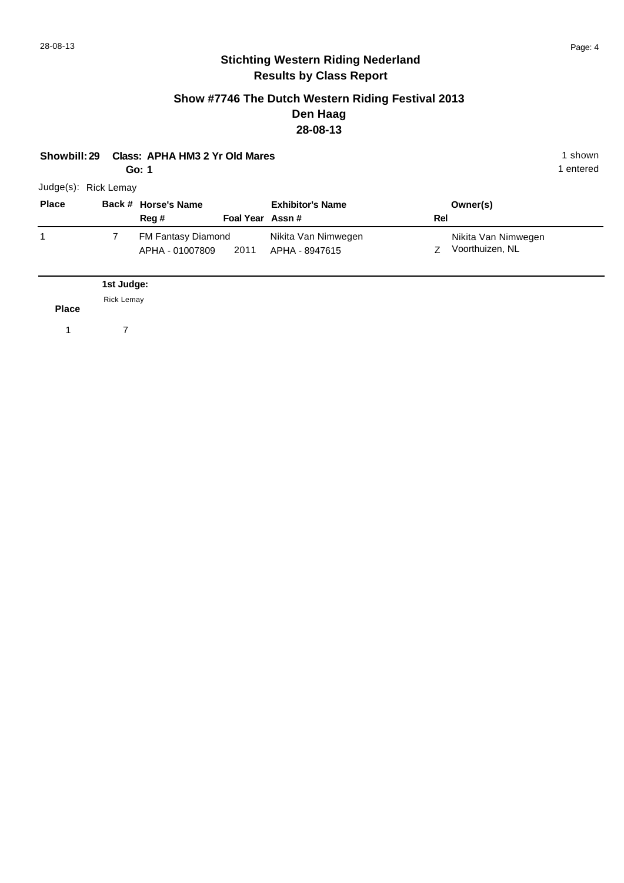#### **Show #7746 The Dutch Western Riding Festival 2013 Den Haag 28-08-13**

| Showbill: 29 Class: APHA HM3 2 Yr Old Mares | 1 shown |
|---------------------------------------------|---------|
|                                             |         |

**Go: 1**

1 entered

| Reg #<br>Foal Year Assn#<br>Rel<br>Nikita Van Nimwegen<br><b>FM Fantasy Diamond</b> | <b>Place</b> | Back # Horse's Name | <b>Exhibitor's Name</b> | Owner(s)            |
|-------------------------------------------------------------------------------------|--------------|---------------------|-------------------------|---------------------|
|                                                                                     |              |                     |                         |                     |
|                                                                                     |              |                     |                         | Nikita Van Nimwegen |
| 2011<br>APHA - 8947615<br>APHA - 01007809                                           |              |                     |                         | Voorthuizen, NL     |

**Place** Rick Lemay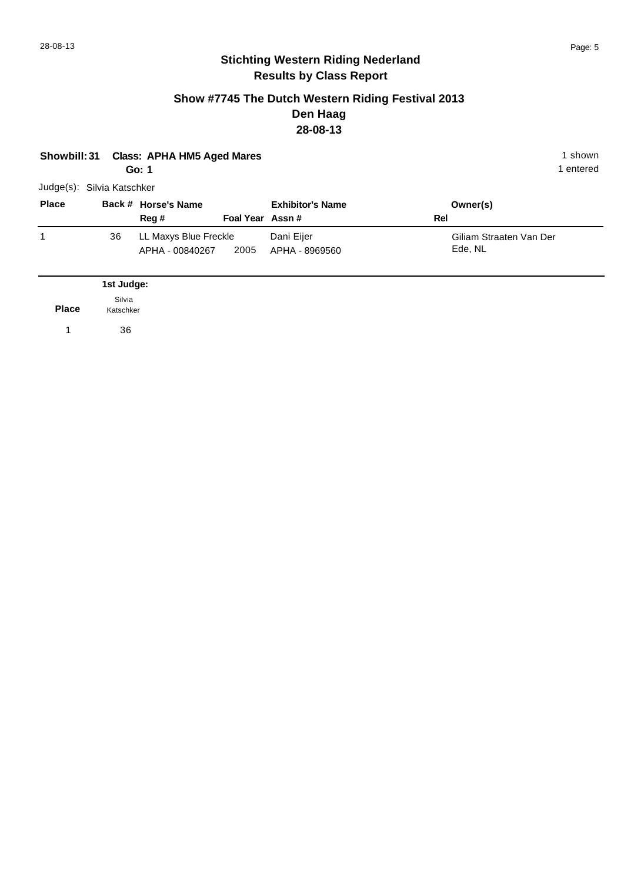#### **Show #7745 The Dutch Western Riding Festival 2013 Den Haag 28-08-13**

| <b>Class: APHA HM5 Aged Mares</b><br>Showbill: 31<br>Go: 1 |                     |                                          |                 |                              | 1 shown<br>1 entered |                                    |  |
|------------------------------------------------------------|---------------------|------------------------------------------|-----------------|------------------------------|----------------------|------------------------------------|--|
| Judge(s): Silvia Katschker                                 |                     |                                          |                 |                              |                      |                                    |  |
| <b>Place</b>                                               |                     | Back # Horse's Name<br>Reg #             | Foal Year Assn# | <b>Exhibitor's Name</b>      | Rel                  | Owner(s)                           |  |
| 1                                                          | 36                  | LL Maxys Blue Freckle<br>APHA - 00840267 | 2005            | Dani Eijer<br>APHA - 8969560 |                      | Giliam Straaten Van Der<br>Ede, NL |  |
|                                                            | 1st Judge:          |                                          |                 |                              |                      |                                    |  |
| <b>Place</b>                                               | Silvia<br>Katschker |                                          |                 |                              |                      |                                    |  |
| 1                                                          | 36                  |                                          |                 |                              |                      |                                    |  |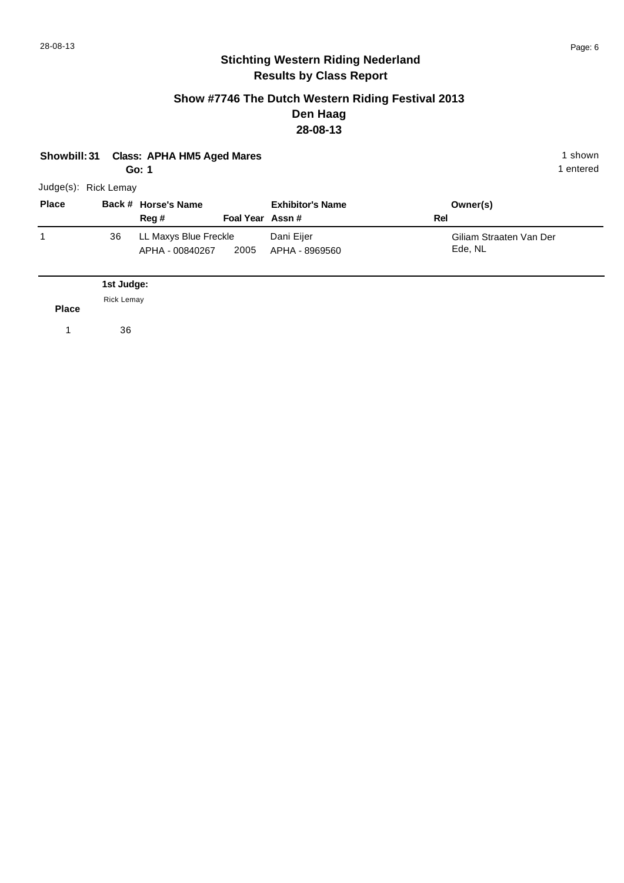#### **Show #7746 The Dutch Western Riding Festival 2013 Den Haag 28-08-13**

| Showbill: 31         |            | <b>Class: APHA HM5 Aged Mares</b><br>Go: 1 |                 |                              |     | 1 shown<br>1 entered               |
|----------------------|------------|--------------------------------------------|-----------------|------------------------------|-----|------------------------------------|
| Judge(s): Rick Lemay |            |                                            |                 |                              |     |                                    |
| <b>Place</b>         |            | Back # Horse's Name<br>Reg #               | Foal Year Assn# | <b>Exhibitor's Name</b>      | Rel | Owner(s)                           |
| $\mathbf{1}$         | 36         | LL Maxys Blue Freckle<br>APHA - 00840267   | 2005            | Dani Eijer<br>APHA - 8969560 |     | Giliam Straaten Van Der<br>Ede, NL |
|                      | 1st Judge: |                                            |                 |                              |     |                                    |
| <b>Place</b>         | Rick Lemay |                                            |                 |                              |     |                                    |
| 1                    | 36         |                                            |                 |                              |     |                                    |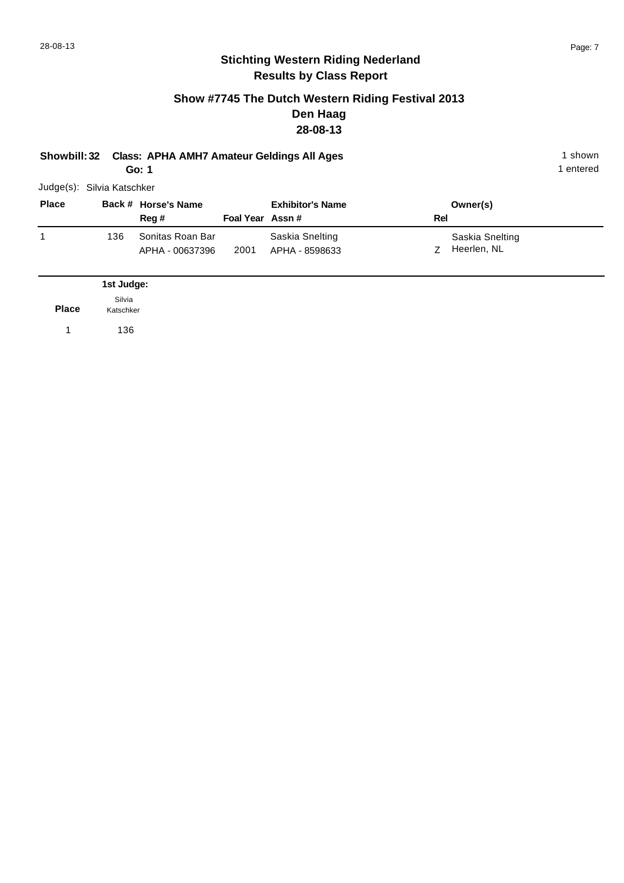## **Show #7745 The Dutch Western Riding Festival 2013 Den Haag 28-08-13**

| 1 shown |
|---------|
|         |

**Go: 1**

1 entered

|              | Judge(s): Silvia Katschker |                                     |                 |                                   |     |                                |  |
|--------------|----------------------------|-------------------------------------|-----------------|-----------------------------------|-----|--------------------------------|--|
| <b>Place</b> |                            | Back # Horse's Name<br>Reg#         | Foal Year Assn# | <b>Exhibitor's Name</b>           | Rel | Owner(s)                       |  |
|              | 136                        | Sonitas Roan Bar<br>APHA - 00637396 | 2001            | Saskia Snelting<br>APHA - 8598633 |     | Saskia Snelting<br>Heerlen, NL |  |

|              | 1st Judge:          |
|--------------|---------------------|
| <b>Place</b> | Silvia<br>Katschker |
|              | 136                 |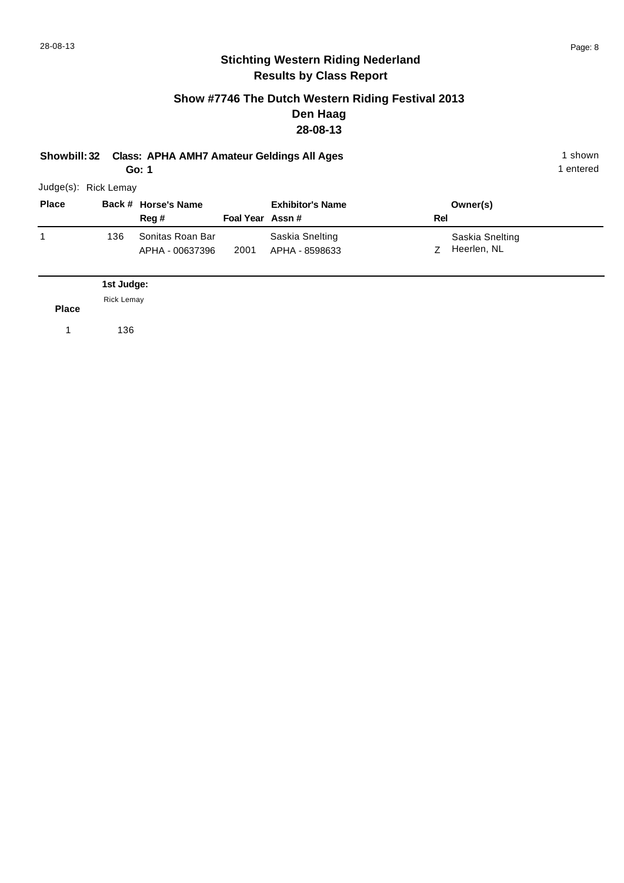# 28-08-13 Page: 8

# **Stichting Western Riding Nederland Results by Class Report**

### **Show #7746 The Dutch Western Riding Festival 2013 Den Haag 28-08-13**

**Showbill: 32 Class: APHA AMH7 Amateur Geldings All Ages** 1 shown

**Go: 1**

1 entered

| <b>Place</b> |     | Back # Horse's Name |                 | <b>Exhibitor's Name</b> |                | Owner(s)        |
|--------------|-----|---------------------|-----------------|-------------------------|----------------|-----------------|
|              |     | Reg #               | Foal Year Assn# |                         | Rel            |                 |
|              | 136 | Sonitas Roan Bar    |                 | Saskia Snelting         |                | Saskia Snelting |
|              |     | APHA - 00637396     | 2001            | APHA - 8598633          | $\overline{z}$ | Heerlen, NL     |

**Place** Rick Lemay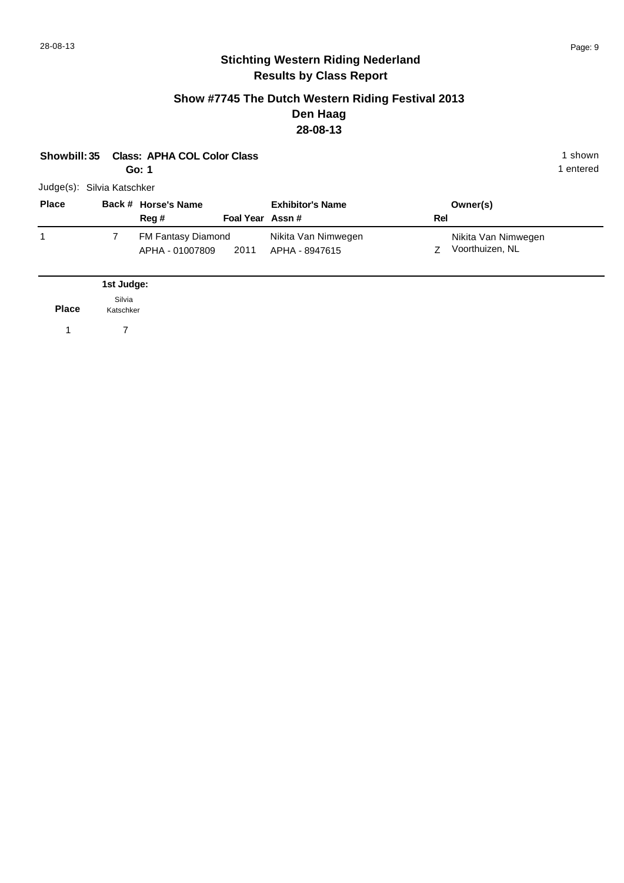#### **Show #7745 The Dutch Western Riding Festival 2013 Den Haag 28-08-13**

| Showbill: 35               |                     | <b>Class: APHA COL Color Class</b><br>Go: 1 |                 |                                       |     |                                        | 1 shown<br>1 entered |
|----------------------------|---------------------|---------------------------------------------|-----------------|---------------------------------------|-----|----------------------------------------|----------------------|
| Judge(s): Silvia Katschker |                     |                                             |                 |                                       |     |                                        |                      |
| <b>Place</b>               |                     | Back # Horse's Name<br>Reg #                | Foal Year Assn# | <b>Exhibitor's Name</b>               | Rel | Owner(s)                               |                      |
| 1                          | $\overline{7}$      | FM Fantasy Diamond<br>APHA - 01007809       | 2011            | Nikita Van Nimwegen<br>APHA - 8947615 | Z   | Nikita Van Nimwegen<br>Voorthuizen, NL |                      |
|                            | 1st Judge:          |                                             |                 |                                       |     |                                        |                      |
| <b>Place</b>               | Silvia<br>Katschker |                                             |                 |                                       |     |                                        |                      |
| 1                          | 7                   |                                             |                 |                                       |     |                                        |                      |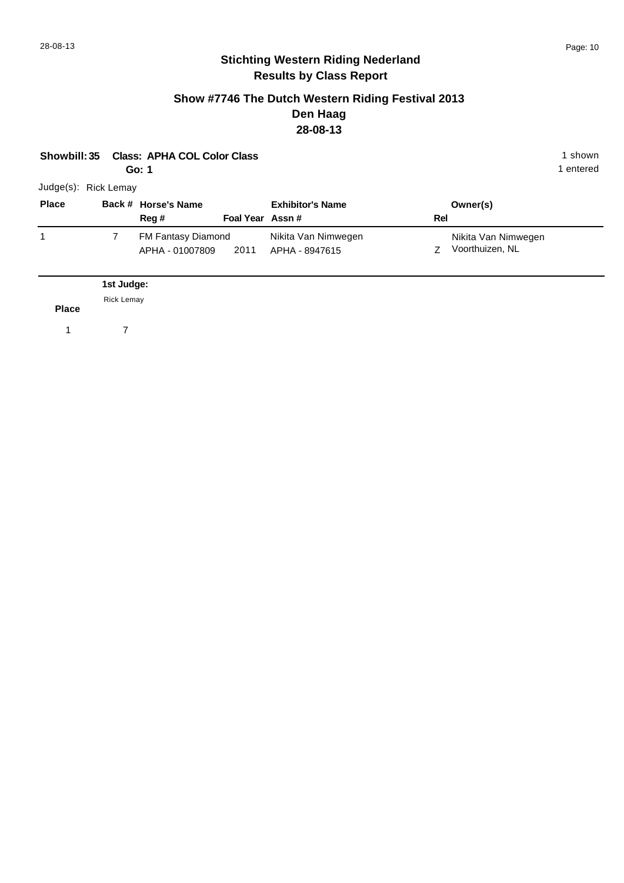#### **Show #7746 The Dutch Western Riding Festival 2013 Den Haag 28-08-13**

| Showbill: 35         |            | <b>Class: APHA COL Color Class</b><br>Go: 1 |                 |                                       |     |                                        | 1 shown<br>1 entered |
|----------------------|------------|---------------------------------------------|-----------------|---------------------------------------|-----|----------------------------------------|----------------------|
| Judge(s): Rick Lemay |            |                                             |                 |                                       |     |                                        |                      |
| <b>Place</b>         |            | Back # Horse's Name<br>Reg #                | Foal Year Assn# | <b>Exhibitor's Name</b>               | Rel | Owner(s)                               |                      |
| 1                    | 7          | FM Fantasy Diamond<br>APHA - 01007809       | 2011            | Nikita Van Nimwegen<br>APHA - 8947615 | Z   | Nikita Van Nimwegen<br>Voorthuizen, NL |                      |
|                      | 1st Judge: |                                             |                 |                                       |     |                                        |                      |
| <b>Place</b>         | Rick Lemay |                                             |                 |                                       |     |                                        |                      |
| 1                    | 7          |                                             |                 |                                       |     |                                        |                      |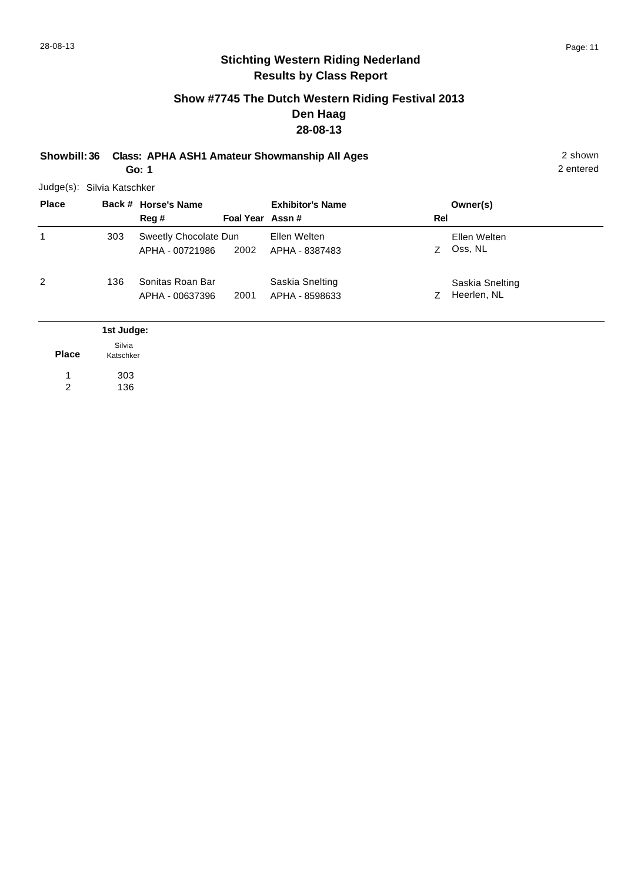2 entered

## **Stichting Western Riding Nederland Results by Class Report**

## **Show #7745 The Dutch Western Riding Festival 2013 Den Haag 28-08-13**

**Showbill: 36 Class: APHA ASH1 Amateur Showmanship All Ages** 2 shown

**Go: 1**

303 136

| <b>Place</b> |                     | Back # Horse's Name   |                 | <b>Exhibitor's Name</b> |     | Owner(s)        |
|--------------|---------------------|-----------------------|-----------------|-------------------------|-----|-----------------|
|              |                     | Reg#                  | Foal Year Assn# |                         | Rel |                 |
| 1            | 303                 | Sweetly Chocolate Dun |                 | Ellen Welten            |     | Ellen Welten    |
|              |                     | APHA - 00721986       | 2002            | APHA - 8387483          | Z   | Oss, NL         |
| 2            | 136                 | Sonitas Roan Bar      |                 | Saskia Snelting         |     | Saskia Snelting |
|              |                     | APHA - 00637396       | 2001            | APHA - 8598633          | Ζ   | Heerlen, NL     |
|              | 1st Judge:          |                       |                 |                         |     |                 |
| <b>Place</b> | Silvia<br>Katschker |                       |                 |                         |     |                 |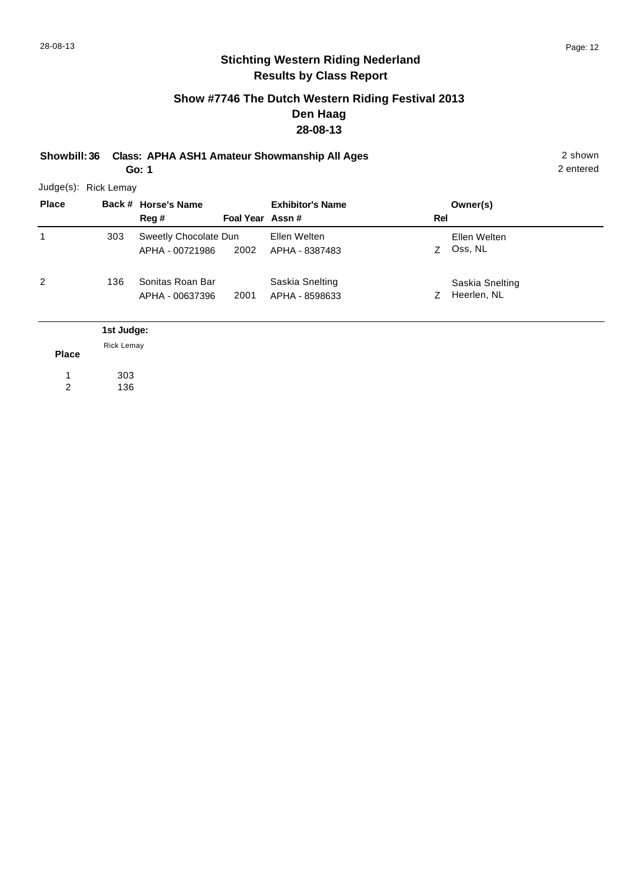## **Show #7746 The Dutch Western Riding Festival 2013 Den Haag 28-08-13**

**Showbill: 36 Class: APHA ASH1 Amateur Showmanship All Ages** 2 shown

**Go: 1**

2 entered

Judge(s): Rick Lemay

| <b>Place</b> |                   | Back # Horse's Name<br>Reg#              | Foal Year Assn# | <b>Exhibitor's Name</b>           | Rel | Owner(s)                       |
|--------------|-------------------|------------------------------------------|-----------------|-----------------------------------|-----|--------------------------------|
| 1            | 303               | Sweetly Chocolate Dun<br>APHA - 00721986 | 2002            | Ellen Welten<br>APHA - 8387483    | Z   | Ellen Welten<br>Oss, NL        |
| 2            | 136               | Sonitas Roan Bar<br>APHA - 00637396      | 2001            | Saskia Snelting<br>APHA - 8598633 | Z   | Saskia Snelting<br>Heerlen, NL |
|              | 1st Judge:        |                                          |                 |                                   |     |                                |
| <b>Place</b> | <b>Rick Lemay</b> |                                          |                 |                                   |     |                                |

303 1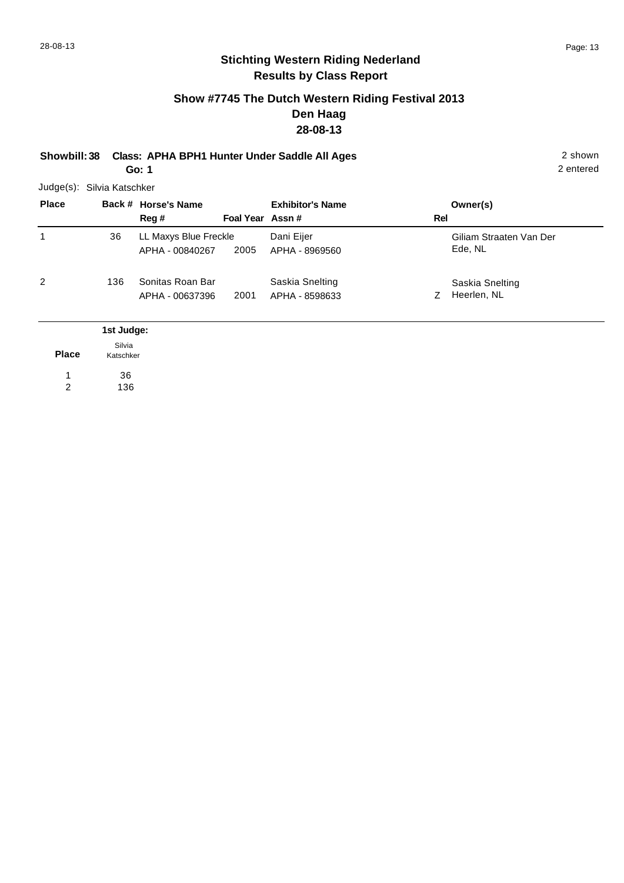## **Show #7745 The Dutch Western Riding Festival 2013 Den Haag 28-08-13**

**Showbill: 38 Class: APHA BPH1 Hunter Under Saddle All Ages** 2 shown **Go: 1**

Judge(s): Silvia Katschker

| <b>Place</b> |                                   | Back # Horse's Name<br>Reg #             | Foal Year Assn# | <b>Exhibitor's Name</b>           | Rel | Owner(s)                           |
|--------------|-----------------------------------|------------------------------------------|-----------------|-----------------------------------|-----|------------------------------------|
| 1            | 36                                | LL Maxys Blue Freckle<br>APHA - 00840267 | 2005            | Dani Eijer<br>APHA - 8969560      |     | Giliam Straaten Van Der<br>Ede, NL |
| 2            | 136                               | Sonitas Roan Bar<br>APHA - 00637396      | 2001            | Saskia Snelting<br>APHA - 8598633 | Z   | Saskia Snelting<br>Heerlen, NL     |
| <b>Place</b> | 1st Judge:<br>Silvia<br>Katschker |                                          |                 |                                   |     |                                    |

**Place** 36 1

136 2

2 entered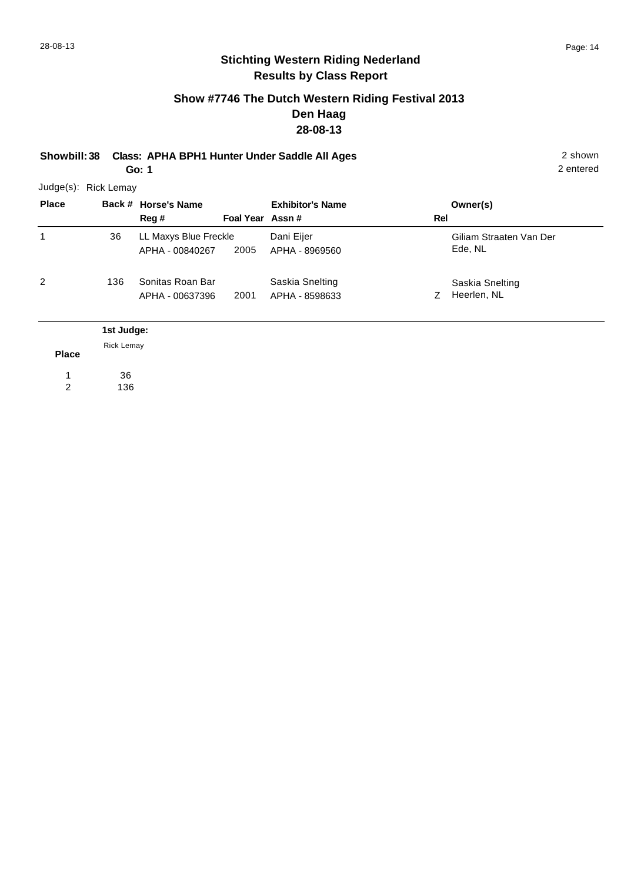2 entered

# **Stichting Western Riding Nederland Results by Class Report**

## **Show #7746 The Dutch Western Riding Festival 2013 Den Haag 28-08-13**

**Showbill: 38 Class: APHA BPH1 Hunter Under Saddle All Ages** 2 shown **Go: 1**

|              | Judge(s): Rick Lemay |                       |                 |                         |     |                         |
|--------------|----------------------|-----------------------|-----------------|-------------------------|-----|-------------------------|
| <b>Place</b> |                      | Back # Horse's Name   |                 | <b>Exhibitor's Name</b> |     | Owner(s)                |
|              |                      | Reg #                 | Foal Year Assn# |                         | Rel |                         |
| 1            | 36                   | LL Maxys Blue Freckle |                 | Dani Eijer              |     | Giliam Straaten Van Der |
|              |                      | APHA - 00840267       | 2005            | APHA - 8969560          |     | Ede, NL                 |
| 2            | 136                  | Sonitas Roan Bar      |                 | Saskia Snelting         |     | Saskia Snelting         |
|              |                      | APHA - 00637396       | 2001            | APHA - 8598633          | Z   | Heerlen, NL             |
|              | 1st Judge:           |                       |                 |                         |     |                         |
| <b>Place</b> | <b>Rick Lemay</b>    |                       |                 |                         |     |                         |

36 1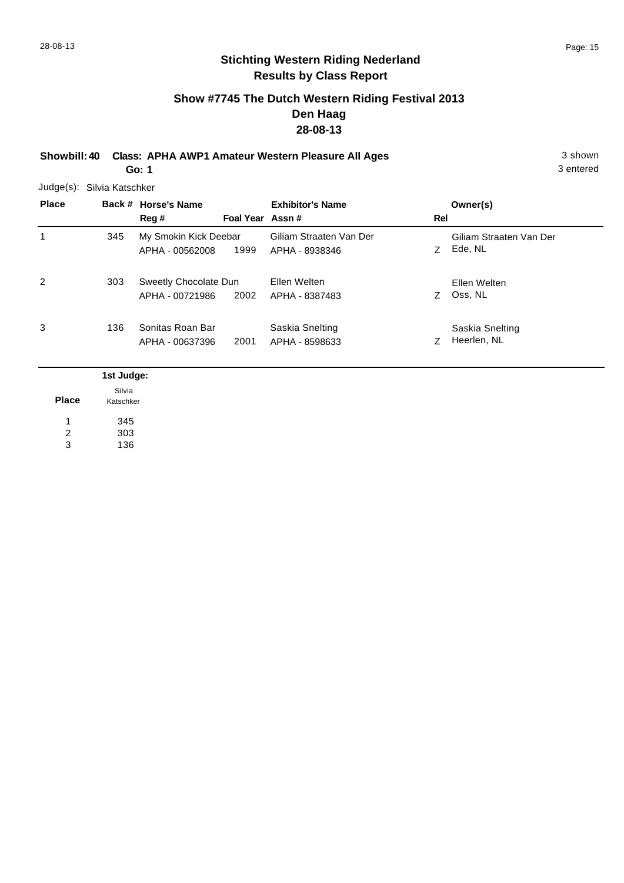3 entered

# **Stichting Western Riding Nederland Results by Class Report**

## **Show #7745 The Dutch Western Riding Festival 2013 Den Haag 28-08-13**

**Showbill: 40 Class: APHA AWP1 Amateur Western Pleasure All Ages** 3 shown **Go: 1**

Judge(s): Silvia Katschker

| <b>Place</b> |     | Back # Horse's Name<br>Reg #             | Foal Year Assn# | <b>Exhibitor's Name</b>                   | Rel | Owner(s)                           |
|--------------|-----|------------------------------------------|-----------------|-------------------------------------------|-----|------------------------------------|
| 1            | 345 | My Smokin Kick Deebar<br>APHA - 00562008 | 1999            | Giliam Straaten Van Der<br>APHA - 8938346 | Z   | Giliam Straaten Van Der<br>Ede, NL |
| 2            | 303 | Sweetly Chocolate Dun<br>APHA - 00721986 | 2002            | Ellen Welten<br>APHA - 8387483            | Z.  | Ellen Welten<br>Oss, NL            |
| 3            | 136 | Sonitas Roan Bar<br>APHA - 00637396      | 2001            | Saskia Snelting<br>APHA - 8598633         |     | Saskia Snelting<br>Heerlen, NL     |

|              | 1st Judge:          |
|--------------|---------------------|
| <b>Place</b> | Silvia<br>Katschker |
|              | 345                 |
| 2            | 303                 |
| 3            | 136                 |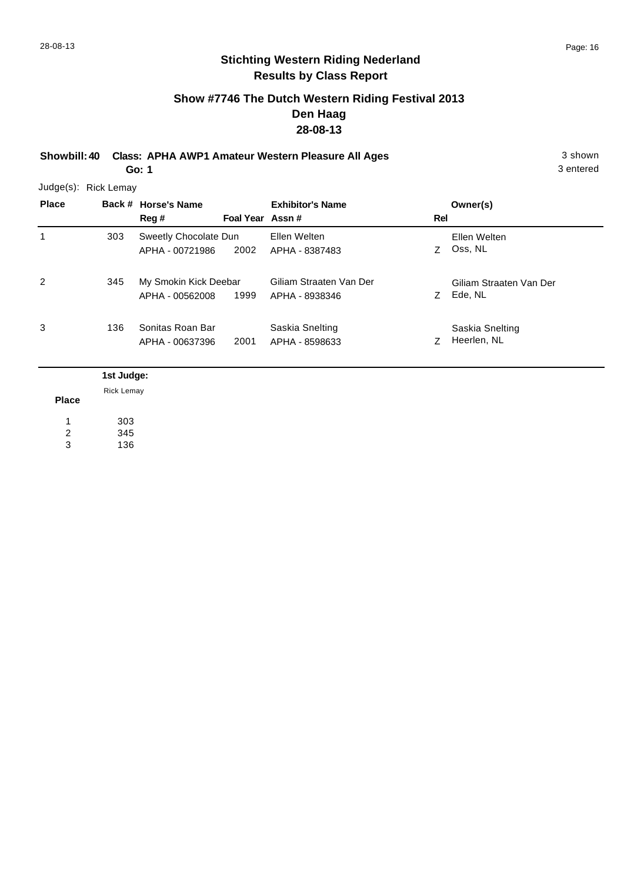## **Show #7746 The Dutch Western Riding Festival 2013 Den Haag 28-08-13**

**Showbill: 40 Class: APHA AWP1 Amateur Western Pleasure All Ages** 3 shown **Go: 1**

3 entered

Judge(s): Rick Lemay

| <b>Place</b>   |     | Back # Horse's Name<br>Reg#              | Foal Year Assn# | <b>Exhibitor's Name</b>                   | Rel | Owner(s)                           |
|----------------|-----|------------------------------------------|-----------------|-------------------------------------------|-----|------------------------------------|
| 1              | 303 | Sweetly Chocolate Dun<br>APHA - 00721986 | 2002            | Ellen Welten<br>APHA - 8387483            | Z   | Ellen Welten<br>Oss, NL            |
| $\overline{2}$ | 345 | My Smokin Kick Deebar<br>APHA - 00562008 | 1999            | Giliam Straaten Van Der<br>APHA - 8938346 | Z.  | Giliam Straaten Van Der<br>Ede, NL |
| 3              | 136 | Sonitas Roan Bar<br>APHA - 00637396      | 2001            | Saskia Snelting<br>APHA - 8598633         | Z   | Saskia Snelting<br>Heerlen, NL     |

|                | 1st Judge:        |
|----------------|-------------------|
|                | <b>Rick Lemay</b> |
| <b>Place</b>   |                   |
|                | 303               |
| $\overline{2}$ | 345               |
| 3              | 136               |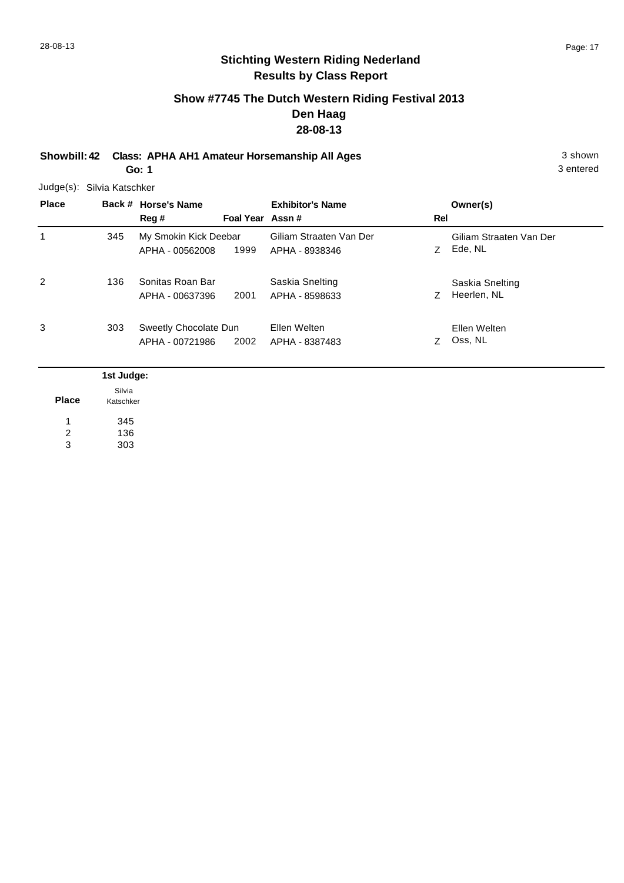# **Show #7745 The Dutch Western Riding Festival 2013 Den Haag 28-08-13**

**Showbill: 42 Class: APHA AH1 Amateur Horsemanship All Ages** 3 shown **Go: 1**

3 entered

Judge(s): Silvia Katschker

| <b>Place</b>   |     | Back # Horse's Name<br>Reg #             | Foal Year Assn# | <b>Exhibitor's Name</b>                   | Rel | Owner(s)                           |
|----------------|-----|------------------------------------------|-----------------|-------------------------------------------|-----|------------------------------------|
| 1              | 345 | My Smokin Kick Deebar<br>APHA - 00562008 | 1999            | Giliam Straaten Van Der<br>APHA - 8938346 | Z.  | Giliam Straaten Van Der<br>Ede, NL |
| $\overline{2}$ | 136 | Sonitas Roan Bar<br>APHA - 00637396      | 2001            | Saskia Snelting<br>APHA - 8598633         | Ζ   | Saskia Snelting<br>Heerlen, NL     |
| 3              | 303 | Sweetly Chocolate Dun<br>APHA - 00721986 | 2002            | Ellen Welten<br>APHA - 8387483            | 7   | Ellen Welten<br>Oss, NL            |

|              | 1st Judge: |
|--------------|------------|
| <b>Place</b> | Silvia     |
|              | Katschker  |
|              | 345        |
| 2            | 136        |
| 3            | 303        |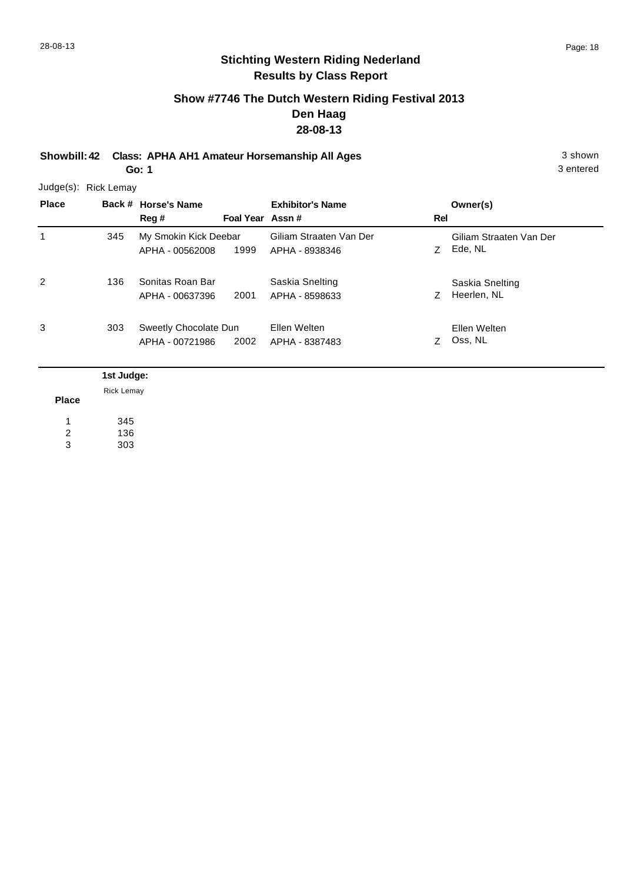3 entered

## **Stichting Western Riding Nederland Results by Class Report**

## **Show #7746 The Dutch Western Riding Festival 2013 Den Haag 28-08-13**

**Showbill: 42 Class: APHA AH1 Amateur Horsemanship All Ages** 3 shown **Go: 1**

Judge(s): Rick Lemay

**Back # Horse's Name Place Owner(s) Reg # Assn # Foal Year Rel Exhibitor's Name** 1 Z Ede, NL Giliam Straaten Van Der 1999 APHA - 8938346 Z Ede, NL My Smokin Kick Deebar APHA - 00562008 Giliam Straaten Van Der 345 2 Z Heerlen, NL Saskia Snelting 2001 APHA - 8598633 Z Heerlen, NL Sonitas Roan Bar APHA - 00637396 Saskia Snelting 136 3 Z Oss, NL Ellen Welten 2002 APHA - 8387483 Z Oss, NL Sweetly Chocolate Dun APHA - 00721986 Ellen Welten 303

|                | 1st Judge:        |
|----------------|-------------------|
|                | <b>Rick Lemay</b> |
| <b>Place</b>   |                   |
|                | 345               |
| $\overline{2}$ | 136               |
| 3              | 303               |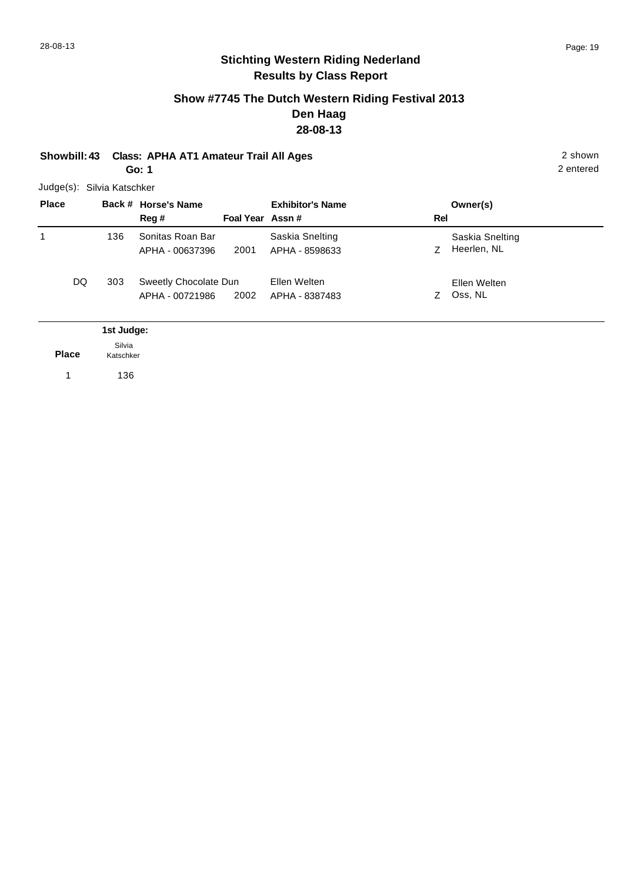## **Show #7745 The Dutch Western Riding Festival 2013 Den Haag 28-08-13**

**Showbill: 43 Class: APHA AT1 Amateur Trail All Ages** 2 shown **Go: 1**

2 entered

Judge(s): Silvia Katschker

| <b>Place</b> |                     | Back # Horse's Name<br>Reg #             | Foal Year Assn# | <b>Exhibitor's Name</b>           | Rel | Owner(s)                       |  |
|--------------|---------------------|------------------------------------------|-----------------|-----------------------------------|-----|--------------------------------|--|
| 1            | 136                 | Sonitas Roan Bar<br>APHA - 00637396      | 2001            | Saskia Snelting<br>APHA - 8598633 | Ζ   | Saskia Snelting<br>Heerlen, NL |  |
| DQ           | 303                 | Sweetly Chocolate Dun<br>APHA - 00721986 | 2002            | Ellen Welten<br>APHA - 8387483    | Z.  | Ellen Welten<br>Oss, NL        |  |
|              | 1st Judge:          |                                          |                 |                                   |     |                                |  |
| <b>Place</b> | Silvia<br>Katschker |                                          |                 |                                   |     |                                |  |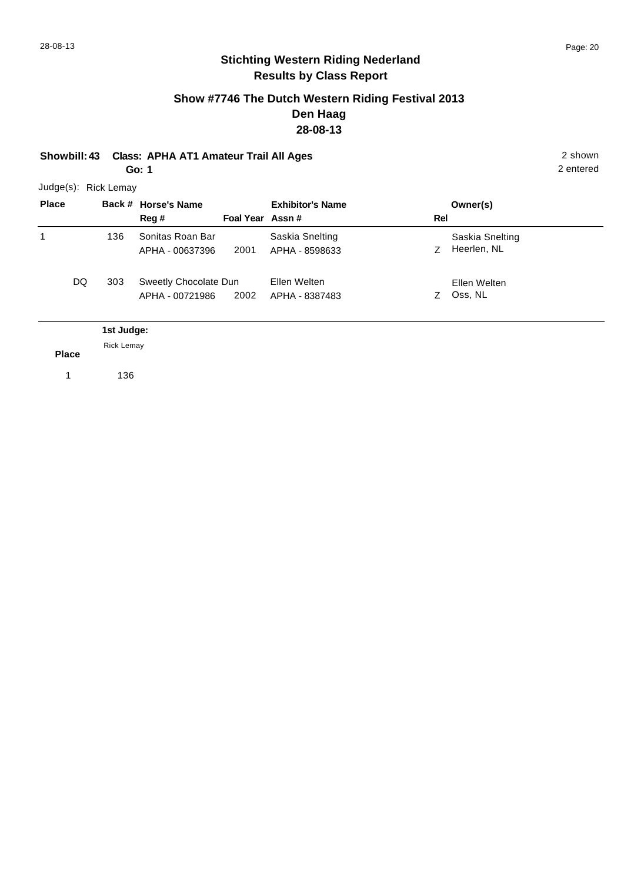## **Show #7746 The Dutch Western Riding Festival 2013 Den Haag 28-08-13**

**Showbill: 43 Class: APHA AT1 Amateur Trail All Ages** 2 shown **Go: 1**

2 entered

| Judge(s): | <b>Rick Lemay</b> |
|-----------|-------------------|
|           |                   |

| <b>Place</b> |                                 | Back # Horse's Name<br>Reg#              | Foal Year Assn# | <b>Exhibitor's Name</b>           | Rel | Owner(s)                       |
|--------------|---------------------------------|------------------------------------------|-----------------|-----------------------------------|-----|--------------------------------|
| 1            | 136                             | Sonitas Roan Bar<br>APHA - 00637396      | 2001            | Saskia Snelting<br>APHA - 8598633 | Z.  | Saskia Snelting<br>Heerlen, NL |
| DQ           | 303                             | Sweetly Chocolate Dun<br>APHA - 00721986 | 2002            | Ellen Welten<br>APHA - 8387483    | Z.  | Ellen Welten<br>Oss, NL        |
| <b>Place</b> | 1st Judge:<br><b>Rick Lemay</b> |                                          |                 |                                   |     |                                |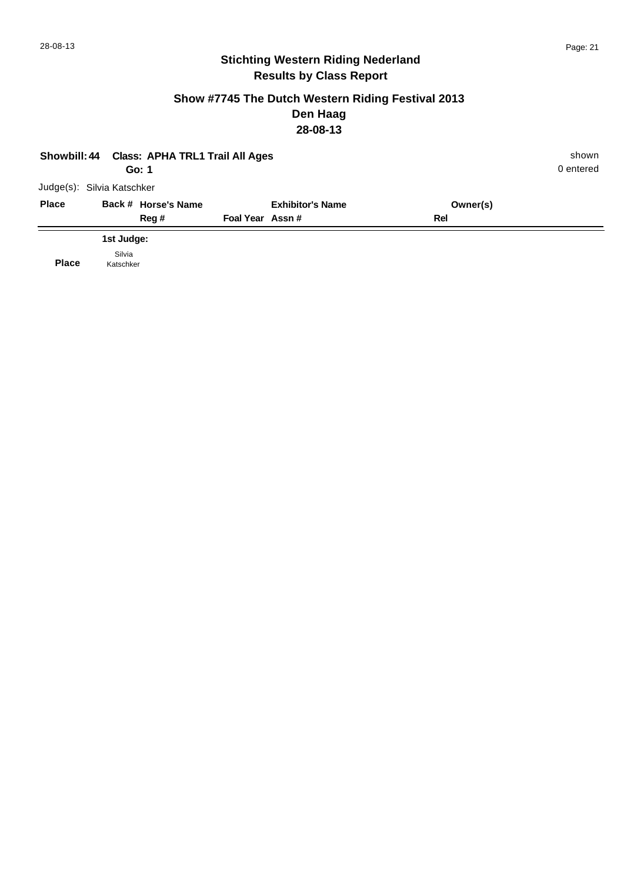## **Show #7745 The Dutch Western Riding Festival 2013 Den Haag 28-08-13**

| Showbill: 44 Class: APHA TRL1 Trail All Ages |            |                     |                 |                         |          |           |  |
|----------------------------------------------|------------|---------------------|-----------------|-------------------------|----------|-----------|--|
|                                              | Go: 1      |                     |                 |                         |          | 0 entered |  |
| Judge(s): Silvia Katschker                   |            |                     |                 |                         |          |           |  |
| <b>Place</b>                                 |            | Back # Horse's Name |                 | <b>Exhibitor's Name</b> | Owner(s) |           |  |
|                                              |            | Reg#                | Foal Year Assn# |                         | Rel      |           |  |
|                                              | 1st Judge: |                     |                 |                         |          |           |  |
|                                              | Silvia     |                     |                 |                         |          |           |  |

**Place** Katschker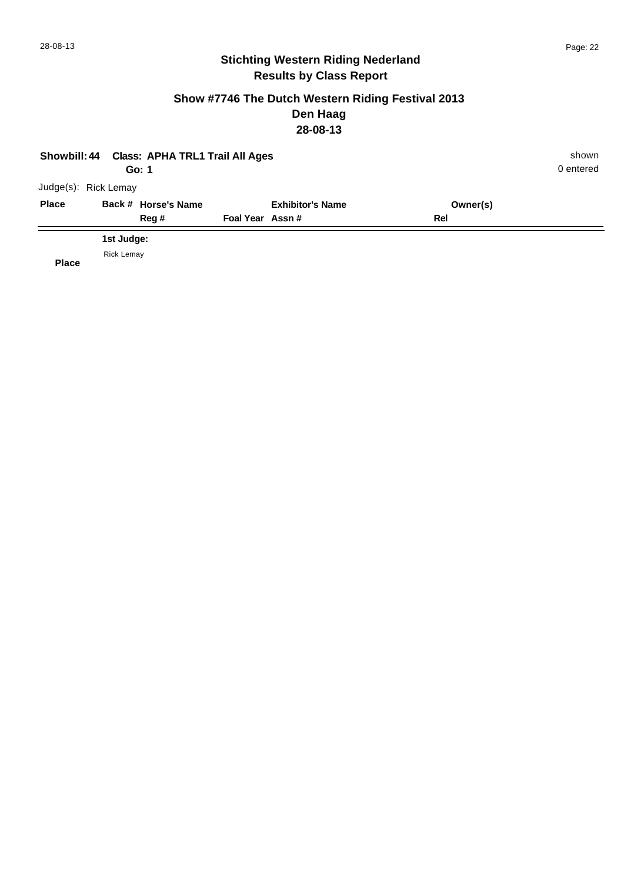## **Show #7746 The Dutch Western Riding Festival 2013 Den Haag 28-08-13**

| Showbill: 44 Class: APHA TRL1 Trail All Ages |                     | shown                   |          |           |
|----------------------------------------------|---------------------|-------------------------|----------|-----------|
|                                              | Go: 1               |                         |          | 0 entered |
| Judge(s): Rick Lemay                         |                     |                         |          |           |
| <b>Place</b>                                 | Back # Horse's Name | <b>Exhibitor's Name</b> | Owner(s) |           |
|                                              | Reg #               | Foal Year Assn#         | Rel      |           |
|                                              | 1st Judge:          |                         |          |           |
|                                              | <b>Rick Lemay</b>   |                         |          |           |

**Place**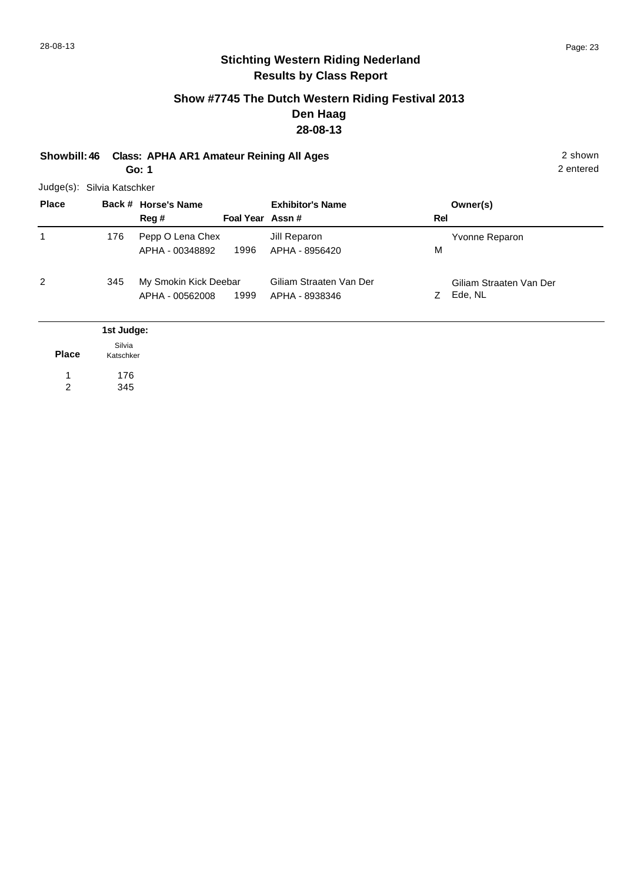## **Show #7745 The Dutch Western Riding Festival 2013 Den Haag 28-08-13**

**Showbill: 46 Class: APHA AR1 Amateur Reining All Ages** 2 shown **Go: 1**

2 entered

Judge(s): Silvia Katschker

176 345

| <b>Place</b> |                     | Back # Horse's Name<br>Reg #             | Foal Year Assn# | <b>Exhibitor's Name</b>                   | Rel | Owner(s)                           |
|--------------|---------------------|------------------------------------------|-----------------|-------------------------------------------|-----|------------------------------------|
| 1            | 176                 | Pepp O Lena Chex<br>APHA - 00348892      | 1996            | Jill Reparon<br>APHA - 8956420            | м   | Yvonne Reparon                     |
| 2            | 345                 | My Smokin Kick Deebar<br>APHA - 00562008 | 1999            | Giliam Straaten Van Der<br>APHA - 8938346 | Z.  | Giliam Straaten Van Der<br>Ede, NL |
|              | 1st Judge:          |                                          |                 |                                           |     |                                    |
| <b>Place</b> | Silvia<br>Katschker |                                          |                 |                                           |     |                                    |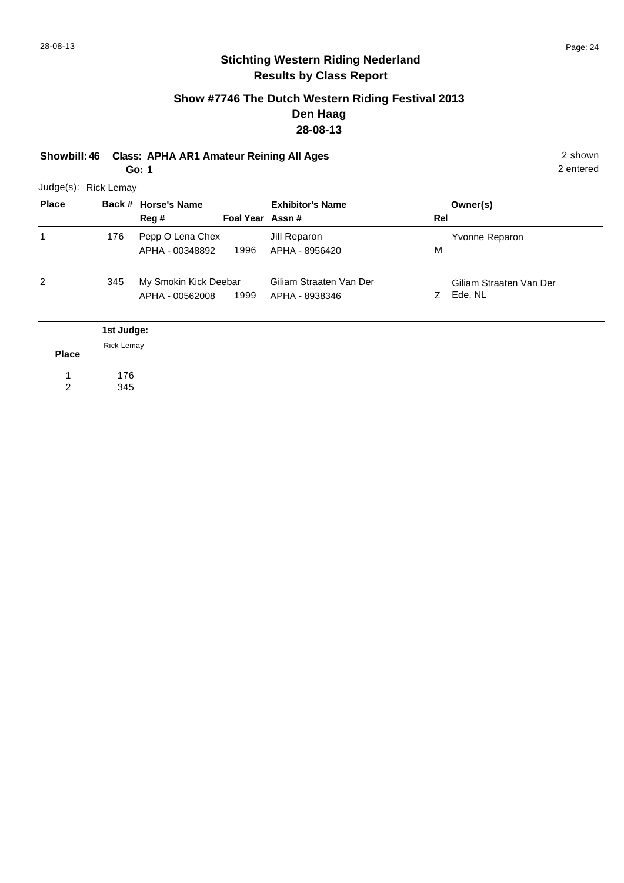## **Show #7746 The Dutch Western Riding Festival 2013 Den Haag 28-08-13**

**Showbill: 46 Class: APHA AR1 Amateur Reining All Ages** 2 shown **Go: 1**

2 entered

Judge(s): Rick Lemay

| <b>Place</b> |                                 | Back # Horse's Name<br>Reg #             | Foal Year Assn# | <b>Exhibitor's Name</b>                   | Rel | Owner(s)                           |
|--------------|---------------------------------|------------------------------------------|-----------------|-------------------------------------------|-----|------------------------------------|
| 1            | 176                             | Pepp O Lena Chex<br>APHA - 00348892      | 1996            | Jill Reparon<br>APHA - 8956420            | M   | Yvonne Reparon                     |
| 2            | 345                             | My Smokin Kick Deebar<br>APHA - 00562008 | 1999            | Giliam Straaten Van Der<br>APHA - 8938346 | Z.  | Giliam Straaten Van Der<br>Ede, NL |
| <b>Place</b> | 1st Judge:<br><b>Rick Lemay</b> |                                          |                 |                                           |     |                                    |
|              |                                 |                                          |                 |                                           |     |                                    |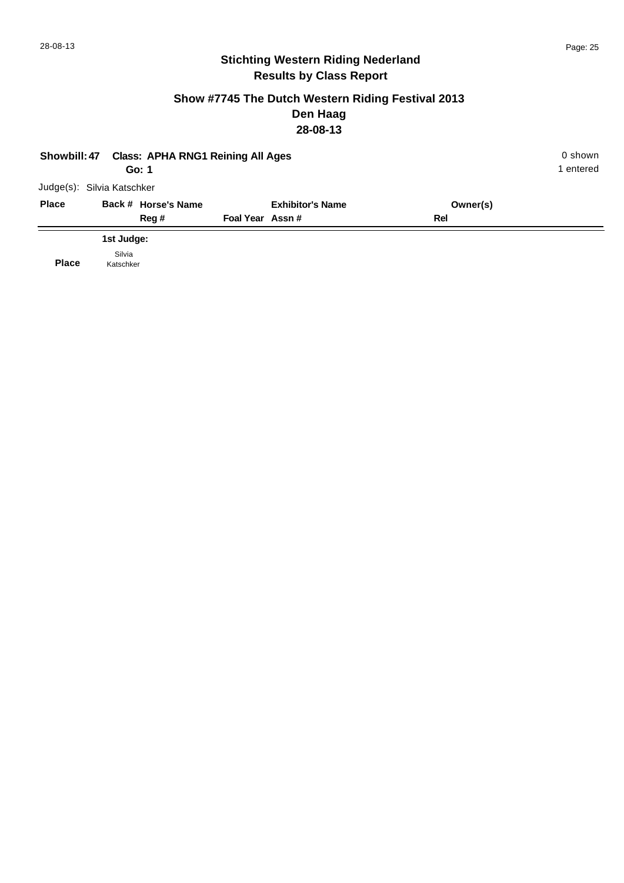## **Show #7745 The Dutch Western Riding Festival 2013 Den Haag 28-08-13**

| Showbill: 47 | 0 shown<br>1 entered       |                         |          |  |
|--------------|----------------------------|-------------------------|----------|--|
|              | Judge(s): Silvia Katschker |                         |          |  |
| <b>Place</b> | Back # Horse's Name        | <b>Exhibitor's Name</b> | Owner(s) |  |
|              | Reg #                      | Foal Year Assn#         | Rel      |  |
|              | 1st Judge:                 |                         |          |  |
| <b>Place</b> | Silvia<br>Katschker        |                         |          |  |